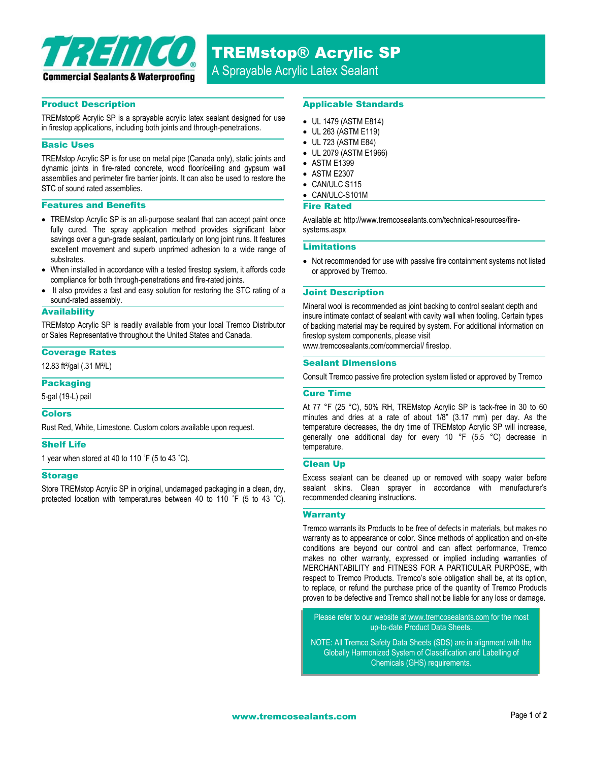

TREMstop® Acrylic SP

A Sprayable Acrylic Latex Sealant

## Product Description

TREMstop® Acrylic SP is a sprayable acrylic latex sealant designed for use in firestop applications, including both joints and through-penetrations.

## Basic Uses

TREMstop Acrylic SP is for use on metal pipe (Canada only), static joints and dynamic joints in fire-rated concrete, wood floor/ceiling and gypsum wall assemblies and perimeter fire barrier joints. It can also be used to restore the STC of sound rated assemblies.

#### Features and Benefits

- TREMstop Acrylic SP is an all-purpose sealant that can accept paint once fully cured. The spray application method provides significant labor savings over a gun-grade sealant, particularly on long joint runs. It features excellent movement and superb unprimed adhesion to a wide range of substrates.
- When installed in accordance with a tested firestop system, it affords code compliance for both through-penetrations and fire-rated joints.
- It also provides a fast and easy solution for restoring the STC rating of a sound-rated assembly.

## **Availability**

TREMstop Acrylic SP is readily available from your local Tremco Distributor or Sales Representative throughout the United States and Canada.

#### Coverage Rates

12.83 ft²/gal (.31 M²/L)

## Packaging

5-gal (19-L) pail

## Colors

Rust Red, White, Limestone. Custom colors available upon request.

### Shelf Life

1 year when stored at 40 to 110 ˚F (5 to 43 ˚C).

#### Storage

Store TREMstop Acrylic SP in original, undamaged packaging in a clean, dry, protected location with temperatures between 40 to 110 ˚F (5 to 43 ˚C).

## Applicable Standards

- UL 1479 (ASTM E814)
- UL 263 (ASTM E119)
- UL 723 (ASTM E84)
- UL 2079 (ASTM E1966)
- ASTM E1399
- ASTM E2307
- CAN/ULC S115
- CAN/ULC-S101M

#### Fire Rated

Available at: http://www.tremcosealants.com/technical-resources/firesystems.aspx

### Limitations

• Not recommended for use with passive fire containment systems not listed or approved by Tremco.

#### Joint Description

Mineral wool is recommended as joint backing to control sealant depth and insure intimate contact of sealant with cavity wall when tooling. Certain types of backing material may be required by system. For additional information on firestop system components, please visit www.tremcosealants.com/commercial/ firestop.

# Sealant Dimensions

Consult Tremco passive fire protection system listed or approved by Tremco

## Cure Time

At 77 °F (25 °C), 50% RH, TREMstop Acrylic SP is tack-free in 30 to 60 minutes and dries at a rate of about 1/8" (3.17 mm) per day. As the temperature decreases, the dry time of TREMstop Acrylic SP will increase, generally one additional day for every 10 °F (5.5 °C) decrease in temperature.

### Clean Up

Excess sealant can be cleaned up or removed with soapy water before sealant skins. Clean sprayer in accordance with manufacturer's recommended cleaning instructions.

#### **Warranty**

Tremco warrants its Products to be free of defects in materials, but makes no warranty as to appearance or color. Since methods of application and on-site conditions are beyond our control and can affect performance, Tremco makes no other warranty, expressed or implied including warranties of MERCHANTABILITY and FITNESS FOR A PARTICULAR PURPOSE, with respect to Tremco Products. Tremco's sole obligation shall be, at its option, to replace, or refund the purchase price of the quantity of Tremco Products proven to be defective and Tremco shall not be liable for any loss or damage.

Please refer to our website a[t www.tremcosealants.com](http://www.tremcosealants.com/) for the most up-to-date Product Data Sheets.

NOTE: All Tremco Safety Data Sheets (SDS) are in alignment with the Globally Harmonized System of Classification and Labelling of Chemicals (GHS) requirements.